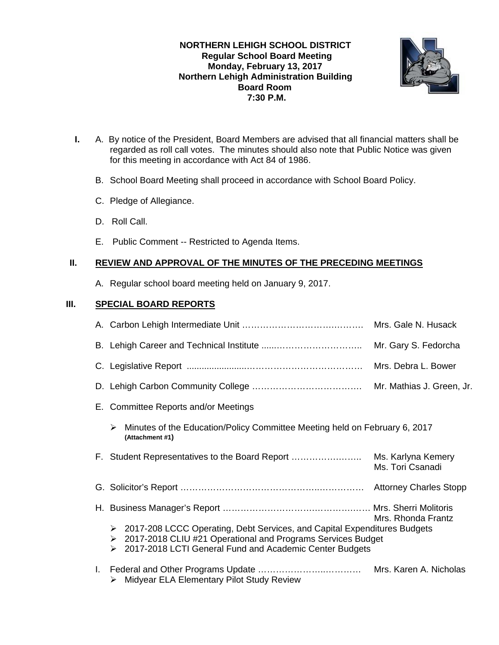**NORTHERN LEHIGH SCHOOL DISTRICT Regular School Board Meeting Monday, February 13, 2017 Northern Lehigh Administration Building Board Room 7:30 P.M.** 



- **I.** A. By notice of the President, Board Members are advised that all financial matters shall be regarded as roll call votes. The minutes should also note that Public Notice was given for this meeting in accordance with Act 84 of 1986.
	- B. School Board Meeting shall proceed in accordance with School Board Policy.
	- C. Pledge of Allegiance.
	- D. Roll Call.
	- E. Public Comment -- Restricted to Agenda Items.

# **II. REVIEW AND APPROVAL OF THE MINUTES OF THE PRECEDING MEETINGS**

A. Regular school board meeting held on January 9, 2017.

# **III. SPECIAL BOARD REPORTS**

|                                                                                                                                                                                                                            | Mrs. Gale N. Husack    |
|----------------------------------------------------------------------------------------------------------------------------------------------------------------------------------------------------------------------------|------------------------|
|                                                                                                                                                                                                                            | Mr. Gary S. Fedorcha   |
|                                                                                                                                                                                                                            |                        |
|                                                                                                                                                                                                                            |                        |
| E. Committee Reports and/or Meetings                                                                                                                                                                                       |                        |
| Minutes of the Education/Policy Committee Meeting held on February 6, 2017<br>➤<br>(Attachment #1)                                                                                                                         |                        |
|                                                                                                                                                                                                                            | Ms. Tori Csanadi       |
|                                                                                                                                                                                                                            |                        |
|                                                                                                                                                                                                                            | Mrs. Rhonda Frantz     |
| $\triangleright$ 2017-208 LCCC Operating, Debt Services, and Capital Expenditures Budgets<br>▶ 2017-2018 CLIU #21 Operational and Programs Services Budget<br>2017-2018 LCTI General Fund and Academic Center Budgets<br>➤ |                        |
| > Midyear ELA Elementary Pilot Study Review                                                                                                                                                                                | Mrs. Karen A. Nicholas |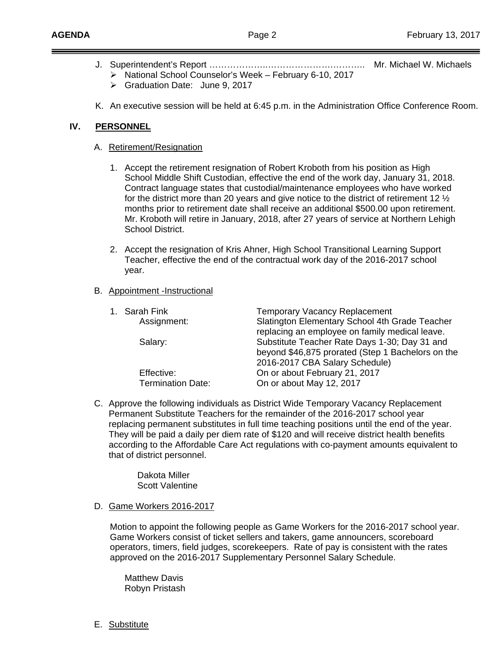- J. Superintendent's Report ………………..………………….……….. Mr. Michael W. Michaels  $\triangleright$  National School Counselor's Week – February 6-10, 2017
	- Graduation Date: June 9, 2017
- K. An executive session will be held at 6:45 p.m. in the Administration Office Conference Room.

# **IV. PERSONNEL**

- A. Retirement/Resignation
	- 1. Accept the retirement resignation of Robert Kroboth from his position as High School Middle Shift Custodian, effective the end of the work day, January 31, 2018. Contract language states that custodial/maintenance employees who have worked for the district more than 20 years and give notice to the district of retirement 12  $\frac{1}{2}$  months prior to retirement date shall receive an additional \$500.00 upon retirement. Mr. Kroboth will retire in January, 2018, after 27 years of service at Northern Lehigh School District.
	- 2. Accept the resignation of Kris Ahner, High School Transitional Learning Support Teacher, effective the end of the contractual work day of the 2016-2017 school year.

### B. Appointment -Instructional

| 1. Sarah Fink     | <b>Temporary Vacancy Replacement</b>              |
|-------------------|---------------------------------------------------|
| Assignment:       | Slatington Elementary School 4th Grade Teacher    |
|                   | replacing an employee on family medical leave.    |
| Salary:           | Substitute Teacher Rate Days 1-30; Day 31 and     |
|                   | beyond \$46,875 prorated (Step 1 Bachelors on the |
|                   | 2016-2017 CBA Salary Schedule)                    |
| Effective:        | On or about February 21, 2017                     |
| Termination Date: | On or about May 12, 2017                          |

C. Approve the following individuals as District Wide Temporary Vacancy Replacement Permanent Substitute Teachers for the remainder of the 2016-2017 school year replacing permanent substitutes in full time teaching positions until the end of the year. They will be paid a daily per diem rate of \$120 and will receive district health benefits according to the Affordable Care Act regulations with co-payment amounts equivalent to that of district personnel.

> Dakota Miller Scott Valentine

#### D. Game Workers 2016-2017

Motion to appoint the following people as Game Workers for the 2016-2017 school year. Game Workers consist of ticket sellers and takers, game announcers, scoreboard operators, timers, field judges, scorekeepers. Rate of pay is consistent with the rates approved on the 2016-2017 Supplementary Personnel Salary Schedule.

 Matthew Davis Robyn Pristash

E. Substitute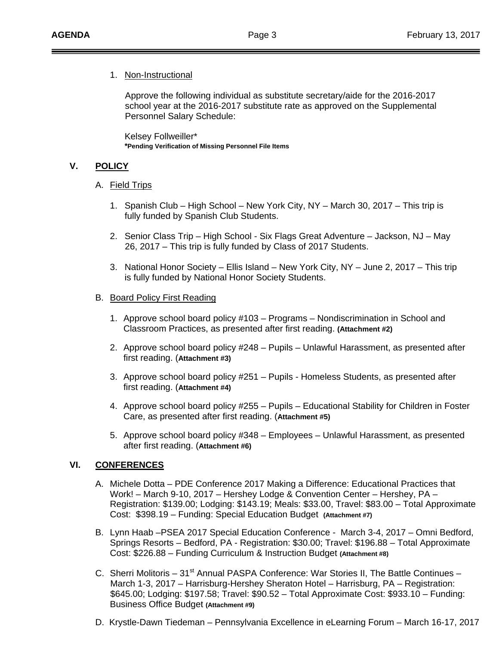# 1. Non-Instructional

Approve the following individual as substitute secretary/aide for the 2016-2017 school year at the 2016-2017 substitute rate as approved on the Supplemental Personnel Salary Schedule:

 Kelsey Follweiller\* **\*Pending Verification of Missing Personnel File Items**

# **V. POLICY**

### A. Field Trips

- 1. Spanish Club High School New York City, NY March 30, 2017 This trip is fully funded by Spanish Club Students.
- 2. Senior Class Trip High School Six Flags Great Adventure Jackson, NJ May 26, 2017 – This trip is fully funded by Class of 2017 Students.
- 3. National Honor Society Ellis Island New York City, NY June 2, 2017 This trip is fully funded by National Honor Society Students.

### B. Board Policy First Reading

- 1. Approve school board policy #103 Programs Nondiscrimination in School and Classroom Practices, as presented after first reading. **(Attachment #2)**
- 2. Approve school board policy #248 Pupils Unlawful Harassment, as presented after first reading. (**Attachment #3)**
- 3. Approve school board policy #251 Pupils Homeless Students, as presented after first reading. (**Attachment #4)**
- 4. Approve school board policy #255 Pupils Educational Stability for Children in Foster Care, as presented after first reading. (**Attachment #5)**
- 5. Approve school board policy #348 Employees Unlawful Harassment, as presented after first reading. (**Attachment #6)**

# **VI. CONFERENCES**

- A. Michele Dotta PDE Conference 2017 Making a Difference: Educational Practices that Work! – March 9-10, 2017 – Hershey Lodge & Convention Center – Hershey, PA – Registration: \$139.00; Lodging: \$143.19; Meals: \$33.00, Travel: \$83.00 – Total Approximate Cost: \$398.19 – Funding: Special Education Budget **(Attachment #7)**
- B. Lynn Haab –PSEA 2017 Special Education Conference March 3-4, 2017 Omni Bedford, Springs Resorts – Bedford, PA - Registration: \$30.00; Travel: \$196.88 – Total Approximate Cost: \$226.88 – Funding Curriculum & Instruction Budget **(Attachment #8)**
- C. Sherri Molitoris  $31<sup>st</sup>$  Annual PASPA Conference: War Stories II, The Battle Continues March 1-3, 2017 – Harrisburg-Hershey Sheraton Hotel – Harrisburg, PA – Registration: \$645.00; Lodging: \$197.58; Travel: \$90.52 – Total Approximate Cost: \$933.10 – Funding: Business Office Budget **(Attachment #9)**
- D. Krystle-Dawn Tiedeman Pennsylvania Excellence in eLearning Forum March 16-17, 2017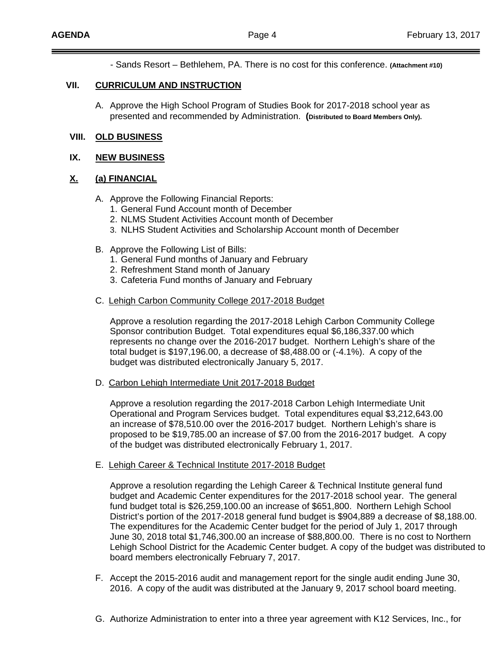- Sands Resort – Bethlehem, PA. There is no cost for this conference. **(Attachment #10)** 

#### **VII. CURRICULUM AND INSTRUCTION**

A. Approve the High School Program of Studies Book for 2017-2018 school year as presented and recommended by Administration. **(Distributed to Board Members Only).** 

## **VIII. OLD BUSINESS**

#### **IX. NEW BUSINESS**

### **X. (a) FINANCIAL**

- A. Approve the Following Financial Reports:
	- 1. General Fund Account month of December
	- 2. NLMS Student Activities Account month of December
	- 3. NLHS Student Activities and Scholarship Account month of December
- B. Approve the Following List of Bills:
	- 1. General Fund months of January and February
	- 2. Refreshment Stand month of January
	- 3. Cafeteria Fund months of January and February
- C. Lehigh Carbon Community College 2017-2018 Budget

Approve a resolution regarding the 2017-2018 Lehigh Carbon Community College Sponsor contribution Budget. Total expenditures equal \$6,186,337.00 which represents no change over the 2016-2017 budget. Northern Lehigh's share of the total budget is \$197,196.00, a decrease of \$8,488.00 or (-4.1%). A copy of the budget was distributed electronically January 5, 2017.

D. Carbon Lehigh Intermediate Unit 2017-2018 Budget

Approve a resolution regarding the 2017-2018 Carbon Lehigh Intermediate Unit Operational and Program Services budget. Total expenditures equal \$3,212,643.00 an increase of \$78,510.00 over the 2016-2017 budget. Northern Lehigh's share is proposed to be \$19,785.00 an increase of \$7.00 from the 2016-2017 budget. A copy of the budget was distributed electronically February 1, 2017.

E. Lehigh Career & Technical Institute 2017-2018 Budget

Approve a resolution regarding the Lehigh Career & Technical Institute general fund budget and Academic Center expenditures for the 2017-2018 school year. The general fund budget total is \$26,259,100.00 an increase of \$651,800. Northern Lehigh School District's portion of the 2017-2018 general fund budget is \$904,889 a decrease of \$8,188.00. The expenditures for the Academic Center budget for the period of July 1, 2017 through June 30, 2018 total \$1,746,300.00 an increase of \$88,800.00. There is no cost to Northern Lehigh School District for the Academic Center budget. A copy of the budget was distributed to board members electronically February 7, 2017.

- F. Accept the 2015-2016 audit and management report for the single audit ending June 30, 2016. A copy of the audit was distributed at the January 9, 2017 school board meeting.
- G. Authorize Administration to enter into a three year agreement with K12 Services, Inc., for